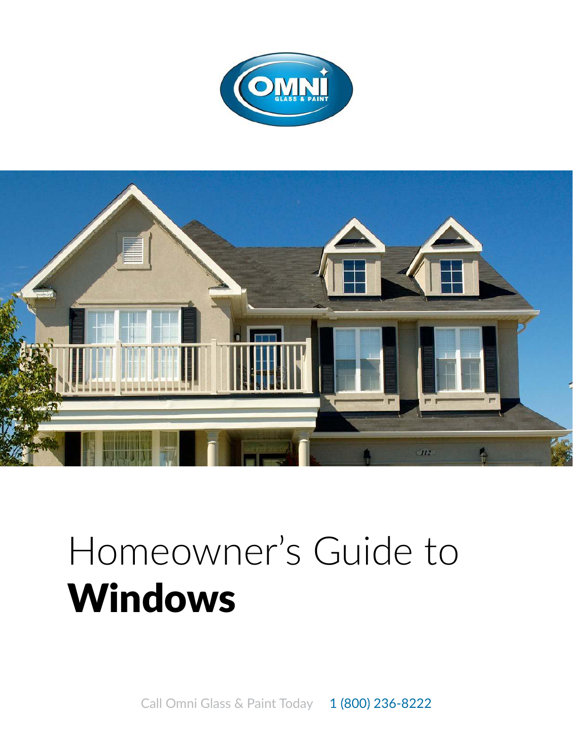



## Homeowner's Guide to Windows

Call Omni Glass & Paint Today 1 (800) 236-8222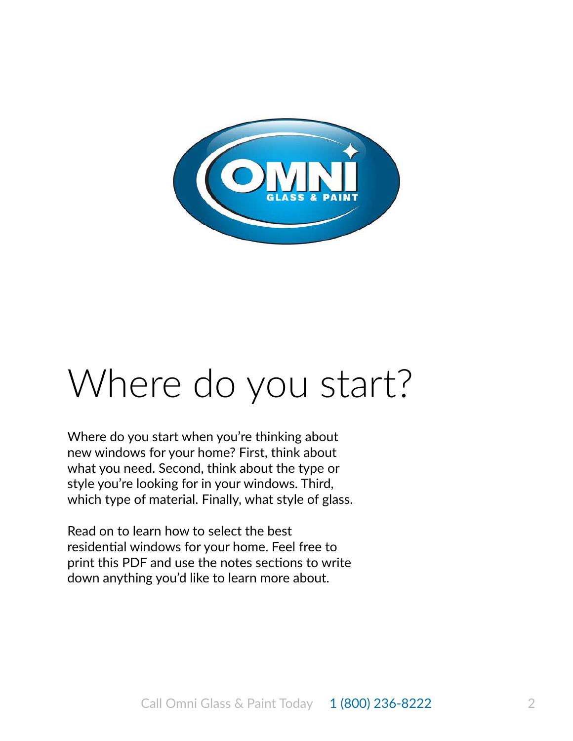

## Where do you start?

Where do you start when you're thinking about new windows for your home? First, think about what you need. Second, think about the type or style you're looking for in your windows. Third, which type of material. Finally, what style of glass.

Read on to learn how to select the best residential windows for your home. Feel free to print this PDF and use the notes sections to write down anything you'd like to learn more about.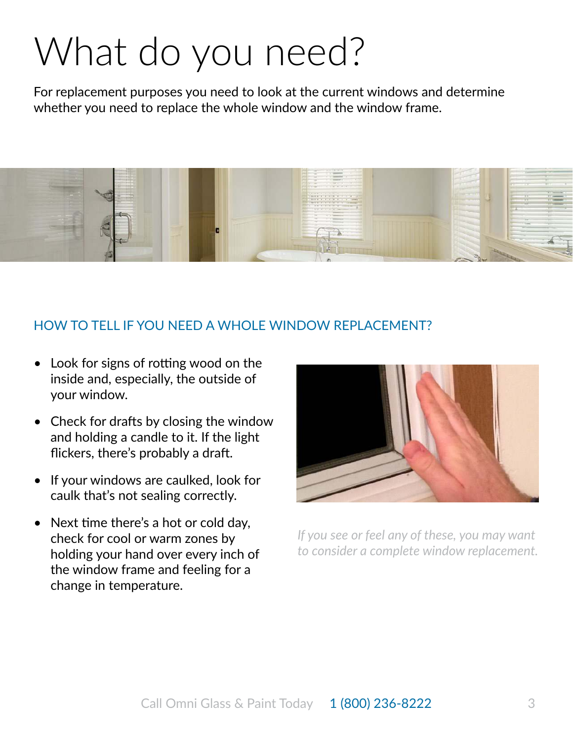## What do you need?

For replacement purposes you need to look at the current windows and determine whether you need to replace the whole window and the window frame.



## HOW TO TELL IF YOU NEED A WHOLE WINDOW REPLACEMENT?

- Look for signs of rotting wood on the inside and, especially, the outside of your window.
- Check for drafts by closing the window and holding a candle to it. If the light flickers, there's probably a draft.
- If your windows are caulked, look for caulk that's not sealing correctly.
- Next time there's a hot or cold day, check for cool or warm zones by holding your hand over every inch of the window frame and feeling for a change in temperature.



*If you see or feel any of these, you may want to consider a complete window replacement.*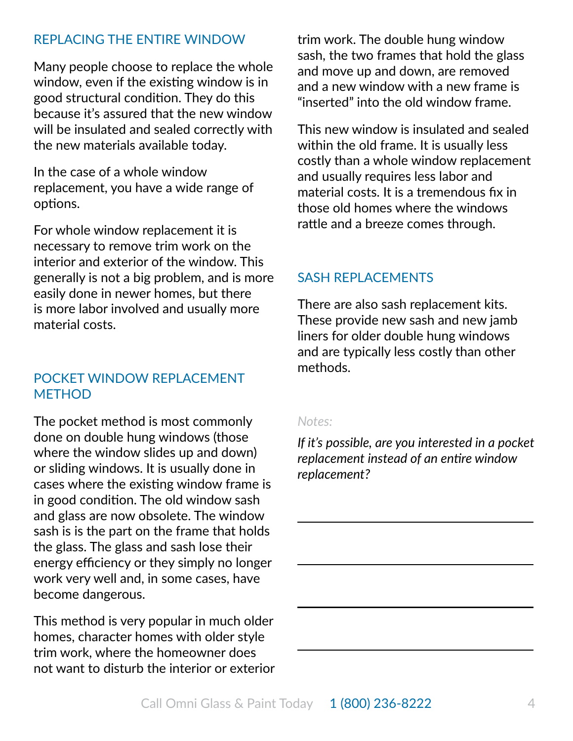## RePlaCING THe eNTIRe WINdOW

Many people choose to replace the whole window, even if the existing window is in good structural condition. They do this because it's assured that the new window will be insulated and sealed correctly with the new materials available today.

In the case of a whole window replacement, you have a wide range of options.

For whole window replacement it is necessary to remove trim work on the interior and exterior of the window. This generally is not a big problem, and is more easily done in newer homes, but there is more labor involved and usually more material costs.

## POCKET WINDOW REPLACEMENT **METHOD**

The pocket method is most commonly done on double hung windows (those where the window slides up and down) or sliding windows. It is usually done in cases where the existing window frame is in good condition. The old window sash and glass are now obsolete. The window sash is is the part on the frame that holds the glass. The glass and sash lose their energy efficiency or they simply no longer work very well and, in some cases, have become dangerous.

This method is very popular in much older homes, character homes with older style trim work, where the homeowner does not want to disturb the interior or exterior

trim work. The double hung window sash, the two frames that hold the glass and move up and down, are removed and a new window with a new frame is "inserted" into the old window frame.

This new window is insulated and sealed within the old frame. It is usually less costly than a whole window replacement and usually requires less labor and material costs. It is a tremendous fix in those old homes where the windows rattle and a breeze comes through.

## SaSH RePlaCemeNTS

There are also sash replacement kits. These provide new sash and new jamb liners for older double hung windows and are typically less costly than other methods.

### *Notes:*

*If it's possible, are you interested in a pocket replacement instead of an entire window replacement?*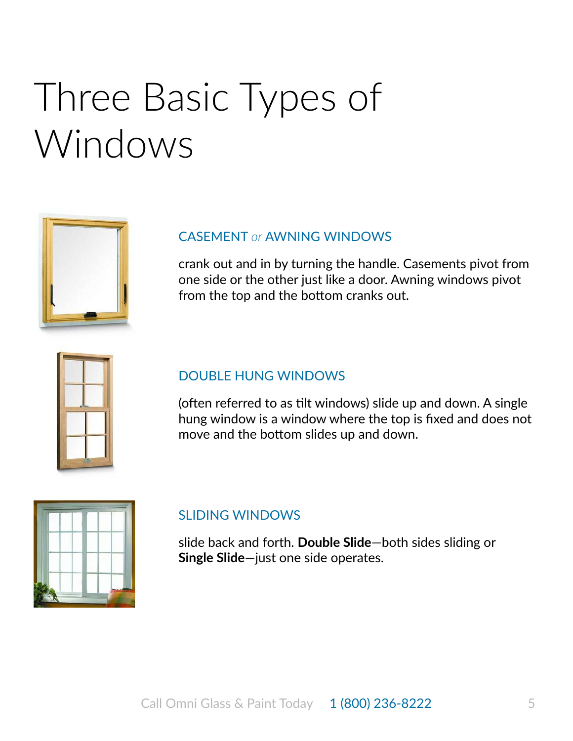## Three Basic Types of Windows

## CaSemeNT *or* aWNING WINdOWS

crank out and in by turning the handle. Casements pivot from one side or the other just like a door. Awning windows pivot from the top and the bottom cranks out.

| ľ |  |
|---|--|

### DOUBLE HUNG WINDOWS

(often referred to as tilt windows) slide up and down. A single hung window is a window where the top is fixed and does not move and the bottom slides up and down.

### SlIdING WINdOWS

slide back and forth. **Double Slide**—both sides sliding or **Single Slide**—just one side operates.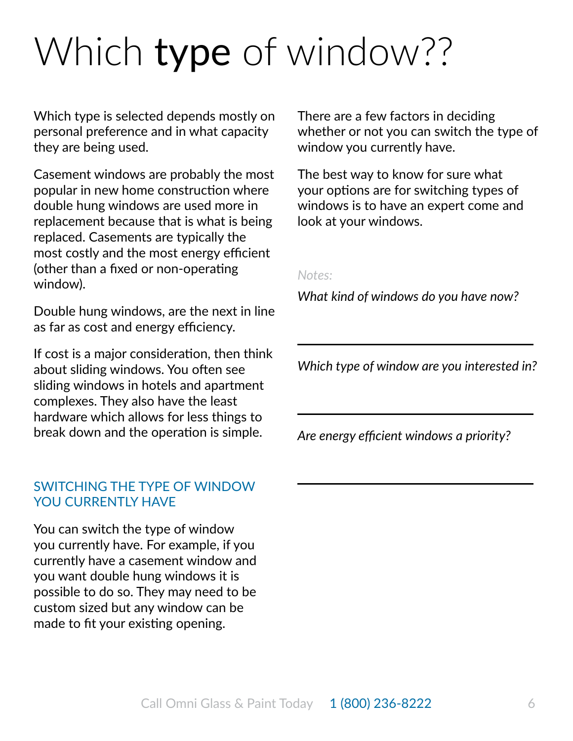# Which type of window??

Which type is selected depends mostly on personal preference and in what capacity they are being used.

Casement windows are probably the most popular in new home construction where double hung windows are used more in replacement because that is what is being replaced. Casements are typically the most costly and the most energy efficient (other than a fixed or non-operating window).

Double hung windows, are the next in line as far as cost and energy efficiency.

If cost is a major consideration, then think about sliding windows. You often see sliding windows in hotels and apartment complexes. They also have the least hardware which allows for less things to break down and the operation is simple.

## SWITCHING THe TYPe OF WINdOW YOU CURRENTLY HAVE

You can switch the type of window you currently have. For example, if you currently have a casement window and you want double hung windows it is possible to do so. They may need to be custom sized but any window can be made to fit your existing opening.

There are a few factors in deciding whether or not you can switch the type of window you currently have.

The best way to know for sure what your options are for switching types of windows is to have an expert come and look at your windows.

#### *Notes:*

*What kind of windows do you have now?*

*Which type of window are you interested in?*

*Are energy efficient windows a priority?*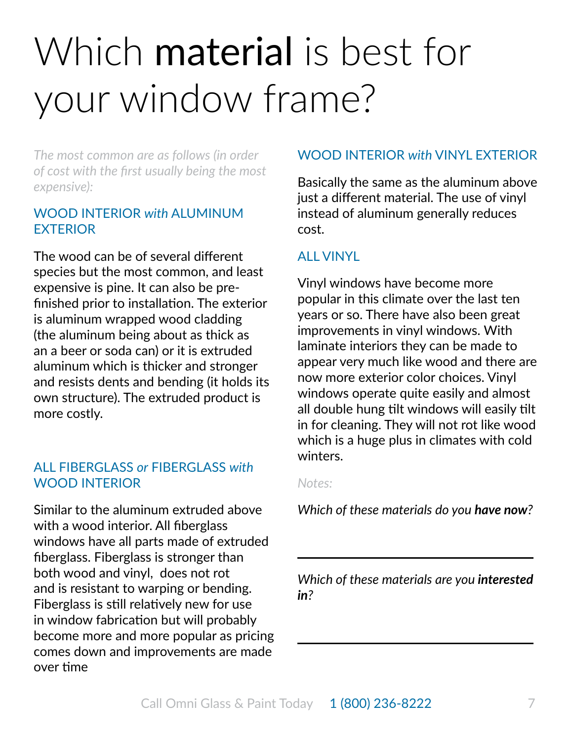# Which **material** is best for your window frame?

*The most common are as follows (in order of cost with the first usually being the most expensive):*

## WOOd INTeRIOR *with* alumINum **FXTFRIOR**

The wood can be of several different species but the most common, and least expensive is pine. It can also be prefinished prior to installation. The exterior is aluminum wrapped wood cladding (the aluminum being about as thick as an a beer or soda can) or it is extruded aluminum which is thicker and stronger and resists dents and bending (it holds its own structure). The extruded product is more costly.

## all FIbeRGlaSS *or* FIbeRGlaSS *with* WOOd INTeRIOR

Similar to the aluminum extruded above with a wood interior. All fiberglass windows have all parts made of extruded fiberglass. Fiberglass is stronger than both wood and vinyl, does not rot and is resistant to warping or bending. Fiberglass is still relatively new for use in window fabrication but will probably become more and more popular as pricing comes down and improvements are made over time

## WOOd INTeRIOR *with* vINYl exTeRIOR

basically the same as the aluminum above just a different material. The use of vinyl instead of aluminum generally reduces cost.

## all vINYl

vinyl windows have become more popular in this climate over the last ten years or so. There have also been great improvements in vinyl windows. With laminate interiors they can be made to appear very much like wood and there are now more exterior color choices. vinyl windows operate quite easily and almost all double hung tilt windows will easily tilt in for cleaning. They will not rot like wood which is a huge plus in climates with cold winters.

### *Notes:*

*Which of these materials do you have now?*

*Which of these materials are you interested in?*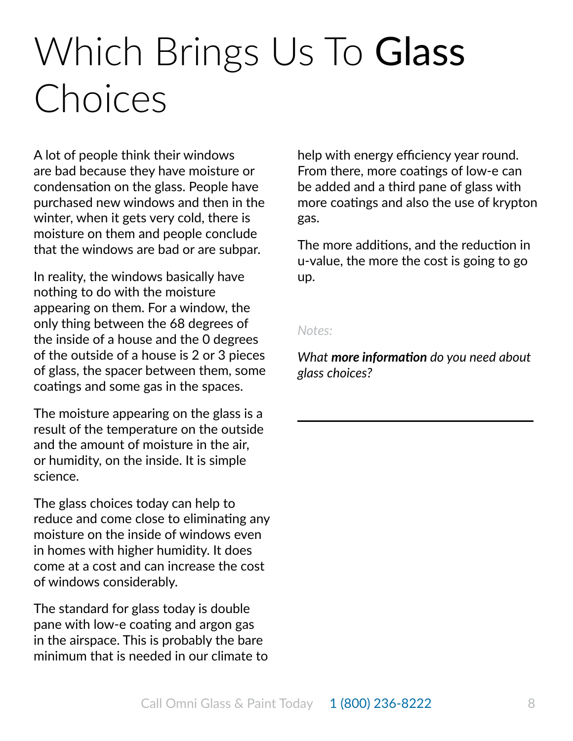## Which Brings Us To Glass Choices

a lot of people think their windows are bad because they have moisture or condensation on the glass. People have purchased new windows and then in the winter, when it gets very cold, there is moisture on them and people conclude that the windows are bad or are subpar.

In reality, the windows basically have nothing to do with the moisture appearing on them. For a window, the only thing between the 68 degrees of the inside of a house and the 0 degrees of the outside of a house is 2 or 3 pieces of glass, the spacer between them, some coatings and some gas in the spaces.

The moisture appearing on the glass is a result of the temperature on the outside and the amount of moisture in the air, or humidity, on the inside. It is simple science.

The glass choices today can help to reduce and come close to eliminating any moisture on the inside of windows even in homes with higher humidity. It does come at a cost and can increase the cost of windows considerably.

The standard for glass today is double pane with low-e coating and argon gas in the airspace. This is probably the bare minimum that is needed in our climate to

help with energy efficiency year round. From there, more coatings of low-e can be added and a third pane of glass with more coatings and also the use of krypton gas.

The more additions, and the reduction in u-value, the more the cost is going to go up.

#### *Notes:*

*What more information do you need about glass choices?*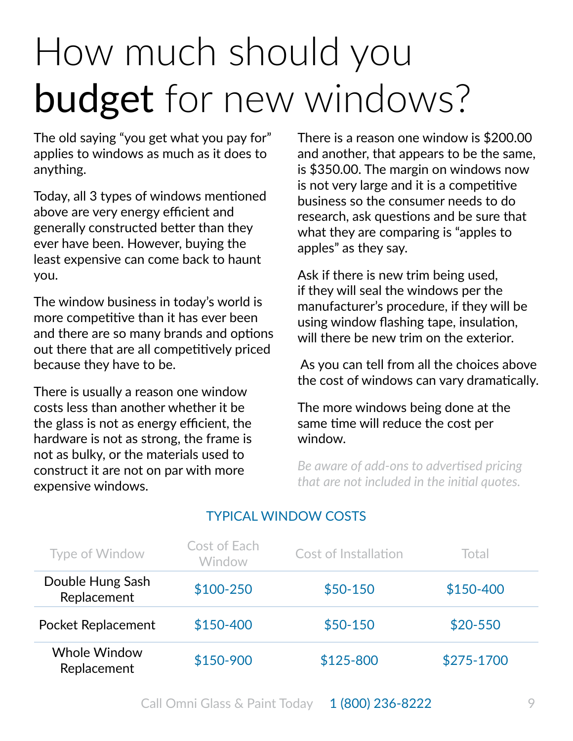# How much should you budget for new windows?

The old saying "you get what you pay for" applies to windows as much as it does to anything.

Today, all 3 types of windows mentioned above are very energy efficient and generally constructed better than they ever have been. However, buying the least expensive can come back to haunt you.

The window business in today's world is more competitive than it has ever been and there are so many brands and options out there that are all competitively priced because they have to be.

There is usually a reason one window costs less than another whether it be the glass is not as energy efficient, the hardware is not as strong, the frame is not as bulky, or the materials used to construct it are not on par with more expensive windows.

There is a reason one window is \$200.00 and another, that appears to be the same, is \$350.00. The margin on windows now is not very large and it is a competitive business so the consumer needs to do research, ask questions and be sure that what they are comparing is "apples to apples" as they say.

Ask if there is new trim being used, if they will seal the windows per the manufacturer's procedure, if they will be using window flashing tape, insulation, will there be new trim on the exterior.

 as you can tell from all the choices above the cost of windows can vary dramatically.

The more windows being done at the same time will reduce the cost per window.

*Be aware of add-ons to advertised pricing that are not included in the initial quotes.* 

| Type of Window                     | Cost of Each<br>Window | Cost of Installation | Total      |
|------------------------------------|------------------------|----------------------|------------|
| Double Hung Sash<br>Replacement    | $$100-250$             | $$50-150$            | \$150-400  |
| <b>Pocket Replacement</b>          | \$150-400              | $$50-150$            | $$20-550$  |
| <b>Whole Window</b><br>Replacement | \$150-900              | \$125-800            | \$275-1700 |

## TYPICal WINdOW COSTS